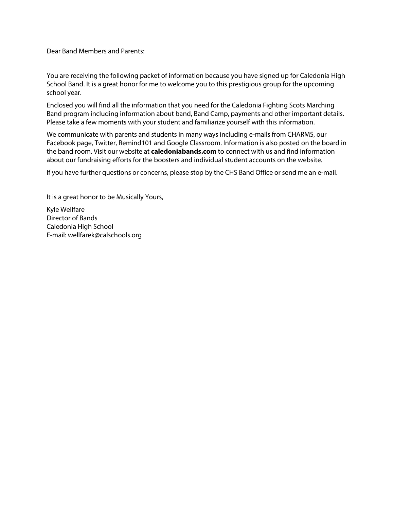Dear Band Members and Parents:

You are receiving the following packet of information because you have signed up for Caledonia High School Band. It is a great honor for me to welcome you to this prestigious group for the upcoming school year.

Enclosed you will find all the information that you need for the Caledonia Fighting Scots Marching Band program including information about band, Band Camp, payments and other important details. Please take a few moments with your student and familiarize yourself with this information.

We communicate with parents and students in many ways including e-mails from CHARMS, our Facebook page, Twitter, Remind101 and Google Classroom. Information is also posted on the board in the band room. Visit our website at **caledoniabands.com** to connect with us and find information about our fundraising efforts for the boosters and individual student accounts on the website.

If you have further questions or concerns, please stop by the CHS Band Office or send me an e-mail.

It is a great honor to be Musically Yours,

Kyle Wellfare Director of Bands Caledonia High School E-mail: wellfarek@calschools.org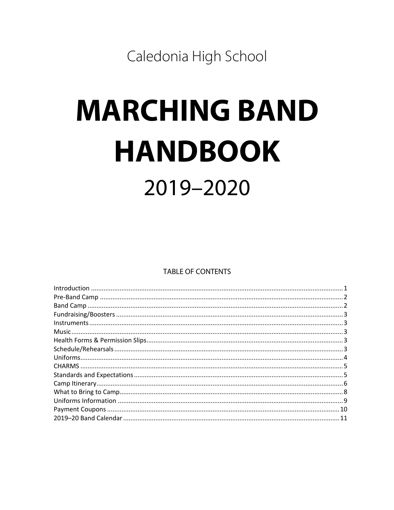Caledonia High School

# **MARCHING BAND HANDBOOK** 2019-2020

**TABLE OF CONTENTS**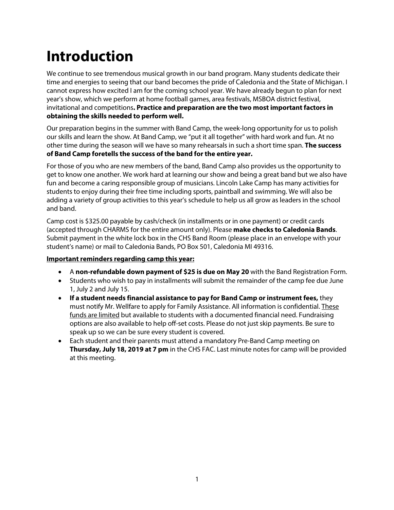### **Introduction**

We continue to see tremendous musical growth in our band program. Many students dedicate their time and energies to seeing that our band becomes the pride of Caledonia and the State of Michigan. I cannot express how excited I am for the coming school year. We have already begun to plan for next year's show, which we perform at home football games, area festivals, MSBOA district festival, invitational and competitions**. Practice and preparation are the two most important factors in obtaining the skills needed to perform well.**

Our preparation begins in the summer with Band Camp, the week-long opportunity for us to polish our skills and learn the show. At Band Camp, we "put it all together" with hard work and fun. At no other time during the season will we have so many rehearsals in such a short time span. **The success of Band Camp foretells the success of the band for the entire year.** 

For those of you who are new members of the band, Band Camp also provides us the opportunity to get to know one another. We work hard at learning our show and being a great band but we also have fun and become a caring responsible group of musicians. Lincoln Lake Camp has many activities for students to enjoy during their free time including sports, paintball and swimming. We will also be adding a variety of group activities to this year's schedule to help us all grow as leaders in the school and band.

Camp cost is \$325.00 payable by cash/check (in installments or in one payment) or credit cards (accepted through CHARMS for the entire amount only). Please **make checks to Caledonia Bands**. Submit payment in the white lock box in the CHS Band Room (please place in an envelope with your student's name) or mail to Caledonia Bands, PO Box 501, Caledonia MI 49316.

#### **Important reminders regarding camp this year:**

- A **non-refundable down payment of \$25 is due on May 20** with the Band Registration Form.
- Students who wish to pay in installments will submit the remainder of the camp fee due June 1, July 2 and July 15.
- **If a student needs financial assistance to pay for Band Camp or instrument fees,** they must notify Mr. Wellfare to apply for Family Assistance. All information is confidential. These funds are limited but available to students with a documented financial need. Fundraising options are also available to help off-set costs. Please do not just skip payments. Be sure to speak up so we can be sure every student is covered.
- Each student and their parents must attend a mandatory Pre-Band Camp meeting on **Thursday, July 18, 2019 at 7 pm** in the CHS FAC. Last minute notes for camp will be provided at this meeting.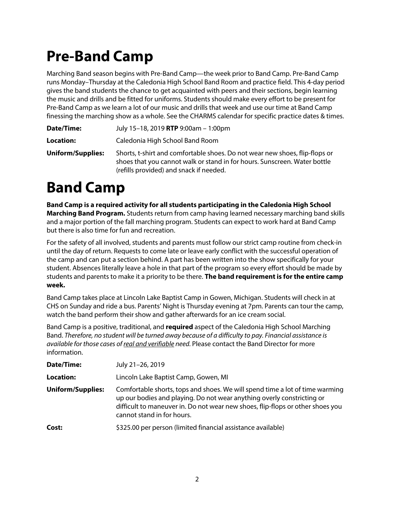### **Pre-Band Camp**

Marching Band season begins with Pre-Band Camp—the week prior to Band Camp. Pre-Band Camp runs Monday–Thursday at the Caledonia High School Band Room and practice field. This 4-day period gives the band students the chance to get acquainted with peers and their sections, begin learning the music and drills and be fitted for uniforms. Students should make every effort to be present for Pre-Band Camp as we learn a lot of our music and drills that week and use our time at Band Camp finessing the marching show as a whole. See the CHARMS calendar for specific practice dates & times.

**Location:** Caledonia High School Band Room

**Uniform/Supplies:** Shorts, t-shirt and comfortable shoes. Do not wear new shoes, flip-flops or shoes that you cannot walk or stand in for hours. Sunscreen. Water bottle (refills provided) and snack if needed.

### **Band Camp**

**Band Camp is a required activity for all students participating in the Caledonia High School Marching Band Program.** Students return from camp having learned necessary marching band skills and a major portion of the fall marching program. Students can expect to work hard at Band Camp but there is also time for fun and recreation.

For the safety of all involved, students and parents must follow our strict camp routine from check-in until the day of return. Requests to come late or leave early conflict with the successful operation of the camp and can put a section behind. A part has been written into the show specifically for your student. Absences literally leave a hole in that part of the program so every effort should be made by students and parents to make it a priority to be there. **The band requirement is for the entire camp week.** 

Band Camp takes place at Lincoln Lake Baptist Camp in Gowen, Michigan. Students will check in at CHS on Sunday and ride a bus. Parents' Night is Thursday evening at 7pm. Parents can tour the camp, watch the band perform their show and gather afterwards for an ice cream social.

Band Camp is a positive, traditional, and **required** aspect of the Caledonia High School Marching Band. *Therefore, no student will be turned away because of a difficulty to pay. Financial assistance is available for those cases of real and verifiable need.* Please contact the Band Director for more information.

| Date/Time:               | July 21-26, 2019                                                                                                                                                                                                                                                       |
|--------------------------|------------------------------------------------------------------------------------------------------------------------------------------------------------------------------------------------------------------------------------------------------------------------|
| Location:                | Lincoln Lake Baptist Camp, Gowen, MI                                                                                                                                                                                                                                   |
| <b>Uniform/Supplies:</b> | Comfortable shorts, tops and shoes. We will spend time a lot of time warming<br>up our bodies and playing. Do not wear anything overly constricting or<br>difficult to maneuver in. Do not wear new shoes, flip-flops or other shoes you<br>cannot stand in for hours. |
| Cost:                    | \$325.00 per person (limited financial assistance available)                                                                                                                                                                                                           |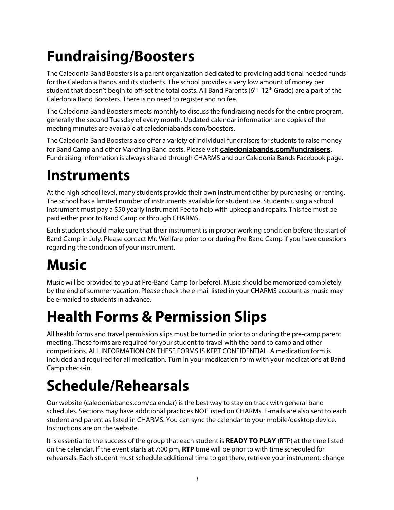# **Fundraising/Boosters**

The Caledonia Band Boosters is a parent organization dedicated to providing additional needed funds for the Caledonia Bands and its students. The school provides a very low amount of money per student that doesn't begin to off-set the total costs. All Band Parents ( $6<sup>th</sup>$ –12<sup>th</sup> Grade) are a part of the Caledonia Band Boosters. There is no need to register and no fee.

The Caledonia Band Boosters meets monthly to discuss the fundraising needs for the entire program, generally the second Tuesday of every month. Updated calendar information and copies of the meeting minutes are available at caledoniabands.com/boosters.

The Caledonia Band Boosters also offer a variety of individual fundraisers for students to raise money for Band Camp and other Marching Band costs. Please visit **caledoniabands.com/fundraisers**. Fundraising information is always shared through CHARMS and our Caledonia Bands Facebook page.

### **Instruments**

At the high school level, many students provide their own instrument either by purchasing or renting. The school has a limited number of instruments available for student use. Students using a school instrument must pay a \$50 yearly Instrument Fee to help with upkeep and repairs. This fee must be paid either prior to Band Camp or through CHARMS.

Each student should make sure that their instrument is in proper working condition before the start of Band Camp in July. Please contact Mr. Wellfare prior to or during Pre-Band Camp if you have questions regarding the condition of your instrument.

# **Music**

Music will be provided to you at Pre-Band Camp (or before). Music should be memorized completely by the end of summer vacation. Please check the e-mail listed in your CHARMS account as music may be e-mailed to students in advance.

### **Health Forms & Permission Slips**

All health forms and travel permission slips must be turned in prior to or during the pre-camp parent meeting. These forms are required for your student to travel with the band to camp and other competitions. ALL INFORMATION ON THESE FORMS IS KEPT CONFIDENTIAL. A medication form is included and required for all medication. Turn in your medication form with your medications at Band Camp check-in.

### **Schedule/Rehearsals**

Our website (caledoniabands.com/calendar) is the best way to stay on track with general band schedules. Sections may have additional practices NOT listed on CHARMs. E-mails are also sent to each student and parent as listed in CHARMS. You can sync the calendar to your mobile/desktop device. Instructions are on the website.

It is essential to the success of the group that each student is **READY TO PLAY** (RTP) at the time listed on the calendar. If the event starts at 7:00 pm, **RTP** time will be prior to with time scheduled for rehearsals. Each student must schedule additional time to get there, retrieve your instrument, change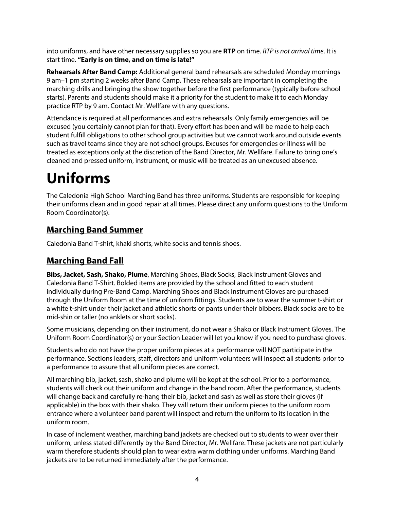into uniforms, and have other necessary supplies so you are **RTP** on time. *RTP is not arrival time*. It is start time. **"Early is on time, and on time is late!"**

**Rehearsals After Band Camp:** Additional general band rehearsals are scheduled Monday mornings 9 am–1 pm starting 2 weeks after Band Camp. These rehearsals are important in completing the marching drills and bringing the show together before the first performance (typically before school starts). Parents and students should make it a priority for the student to make it to each Monday practice RTP by 9 am. Contact Mr. Wellfare with any questions.

Attendance is required at all performances and extra rehearsals. Only family emergencies will be excused (you certainly cannot plan for that). Every effort has been and will be made to help each student fulfill obligations to other school group activities but we cannot work around outside events such as travel teams since they are not school groups. Excuses for emergencies or illness will be treated as exceptions only at the discretion of the Band Director, Mr. Wellfare. Failure to bring one's cleaned and pressed uniform, instrument, or music will be treated as an unexcused absence.

# **Uniforms**

The Caledonia High School Marching Band has three uniforms. Students are responsible for keeping their uniforms clean and in good repair at all times. Please direct any uniform questions to the Uniform Room Coordinator(s).

#### **Marching Band Summer**

Caledonia Band T-shirt, khaki shorts, white socks and tennis shoes.

#### **Marching Band Fall**

**Bibs, Jacket, Sash, Shako, Plume**, Marching Shoes, Black Socks, Black Instrument Gloves and Caledonia Band T-Shirt. Bolded items are provided by the school and fitted to each student individually during Pre-Band Camp. Marching Shoes and Black Instrument Gloves are purchased through the Uniform Room at the time of uniform fittings. Students are to wear the summer t-shirt or a white t-shirt under their jacket and athletic shorts or pants under their bibbers. Black socks are to be mid-shin or taller (no anklets or short socks).

Some musicians, depending on their instrument, do not wear a Shako or Black Instrument Gloves. The Uniform Room Coordinator(s) or your Section Leader will let you know if you need to purchase gloves.

Students who do not have the proper uniform pieces at a performance will NOT participate in the performance. Sections leaders, staff, directors and uniform volunteers will inspect all students prior to a performance to assure that all uniform pieces are correct.

All marching bib, jacket, sash, shako and plume will be kept at the school. Prior to a performance, students will check out their uniform and change in the band room. After the performance, students will change back and carefully re-hang their bib, jacket and sash as well as store their gloves (if applicable) in the box with their shako. They will return their uniform pieces to the uniform room entrance where a volunteer band parent will inspect and return the uniform to its location in the uniform room.

In case of inclement weather, marching band jackets are checked out to students to wear over their uniform, unless stated differently by the Band Director, Mr. Wellfare. These jackets are not particularly warm therefore students should plan to wear extra warm clothing under uniforms. Marching Band jackets are to be returned immediately after the performance.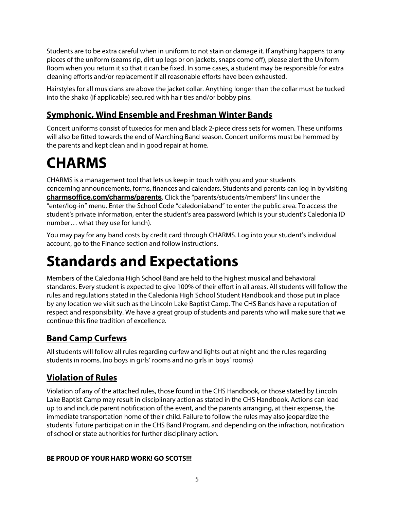Students are to be extra careful when in uniform to not stain or damage it. If anything happens to any pieces of the uniform (seams rip, dirt up legs or on jackets, snaps come off), please alert the Uniform Room when you return it so that it can be fixed. In some cases, a student may be responsible for extra cleaning efforts and/or replacement if all reasonable efforts have been exhausted.

Hairstyles for all musicians are above the jacket collar. Anything longer than the collar must be tucked into the shako (if applicable) secured with hair ties and/or bobby pins.

#### **Symphonic, Wind Ensemble and Freshman Winter Bands**

Concert uniforms consist of tuxedos for men and black 2-piece dress sets for women. These uniforms will also be fitted towards the end of Marching Band season. Concert uniforms must be hemmed by the parents and kept clean and in good repair at home.

### **CHARMS**

CHARMS is a management tool that lets us keep in touch with you and your students concerning announcements, forms, finances and calendars. Students and parents can log in by visiting **charmsoffice.com/charms/parents**. Click the "parents/students/members" link under the "enter/log-in" menu. Enter the School Code "caledoniaband" to enter the public area. To access the student's private information, enter the student's area password (which is your student's Caledonia ID number… what they use for lunch).

You may pay for any band costs by credit card through CHARMS. Log into your student's individual account, go to the Finance section and follow instructions.

### **Standards and Expectations**

Members of the Caledonia High School Band are held to the highest musical and behavioral standards. Every student is expected to give 100% of their effort in all areas. All students will follow the rules and regulations stated in the Caledonia High School Student Handbook and those put in place by any location we visit such as the Lincoln Lake Baptist Camp. The CHS Bands have a reputation of respect and responsibility. We have a great group of students and parents who will make sure that we continue this fine tradition of excellence.

### **Band Camp Curfews**

All students will follow all rules regarding curfew and lights out at night and the rules regarding students in rooms. (no boys in girls' rooms and no girls in boys' rooms)

### **Violation of Rules**

Violation of any of the attached rules, those found in the CHS Handbook, or those stated by Lincoln Lake Baptist Camp may result in disciplinary action as stated in the CHS Handbook. Actions can lead up to and include parent notification of the event, and the parents arranging, at their expense, the immediate transportation home of their child. Failure to follow the rules may also jeopardize the students' future participation in the CHS Band Program, and depending on the infraction, notification of school or state authorities for further disciplinary action.

#### **BE PROUD OF YOUR HARD WORK! GO SCOTS!!!**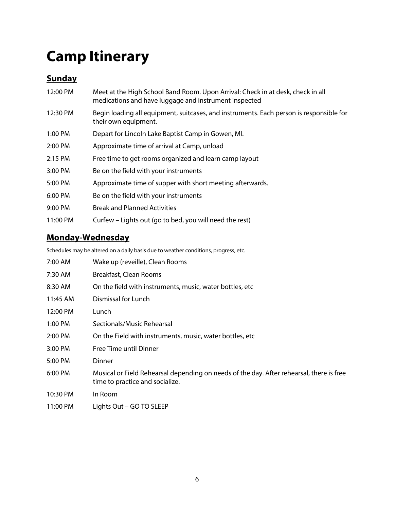### **Camp Itinerary**

### **Sunday**

| 12:00 PM | Meet at the High School Band Room. Upon Arrival: Check in at desk, check in all<br>medications and have luggage and instrument inspected |
|----------|------------------------------------------------------------------------------------------------------------------------------------------|
| 12:30 PM | Begin loading all equipment, suitcases, and instruments. Each person is responsible for<br>their own equipment.                          |
| 1:00 PM  | Depart for Lincoln Lake Baptist Camp in Gowen, MI.                                                                                       |
| 2:00 PM  | Approximate time of arrival at Camp, unload                                                                                              |
| 2:15 PM  | Free time to get rooms organized and learn camp layout                                                                                   |
| 3:00 PM  | Be on the field with your instruments                                                                                                    |
| 5:00 PM  | Approximate time of supper with short meeting afterwards.                                                                                |
| 6:00 PM  | Be on the field with your instruments                                                                                                    |
| 9:00 PM  | <b>Break and Planned Activities</b>                                                                                                      |
| 11:00 PM | Curfew – Lights out (go to bed, you will need the rest)                                                                                  |

### **Monday-Wednesday**

Schedules may be altered on a daily basis due to weather conditions, progress, etc.

| 7:00 AM   | Wake up (reveille), Clean Rooms                                                                                             |
|-----------|-----------------------------------------------------------------------------------------------------------------------------|
| 7:30 AM   | Breakfast, Clean Rooms                                                                                                      |
| 8:30 AM   | On the field with instruments, music, water bottles, etc.                                                                   |
| 11:45 AM  | Dismissal for Lunch                                                                                                         |
| 12:00 PM  | Lunch                                                                                                                       |
| $1:00$ PM | Sectionals/Music Rehearsal                                                                                                  |
| 2:00 PM   | On the Field with instruments, music, water bottles, etc.                                                                   |
| 3:00 PM   | Free Time until Dinner                                                                                                      |
| 5:00 PM   | Dinner                                                                                                                      |
| 6:00 PM   | Musical or Field Rehearsal depending on needs of the day. After rehearsal, there is free<br>time to practice and socialize. |
| 10:30 PM  | In Room                                                                                                                     |
| 11:00 PM  | Lights Out - GO TO SLEEP                                                                                                    |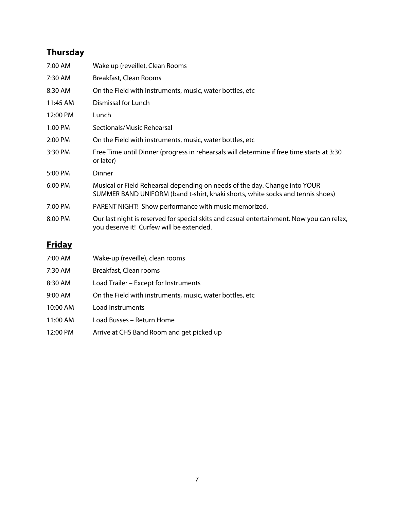### **Thursday**

| 7:00 AM       | Wake up (reveille), Clean Rooms                                                                                                                              |
|---------------|--------------------------------------------------------------------------------------------------------------------------------------------------------------|
| 7:30 AM       | Breakfast, Clean Rooms                                                                                                                                       |
| 8:30 AM       | On the Field with instruments, music, water bottles, etc.                                                                                                    |
| 11:45 AM      | Dismissal for Lunch                                                                                                                                          |
| 12:00 PM      | Lunch                                                                                                                                                        |
| 1:00 PM       | Sectionals/Music Rehearsal                                                                                                                                   |
| 2:00 PM       | On the Field with instruments, music, water bottles, etc.                                                                                                    |
| 3:30 PM       | Free Time until Dinner (progress in rehearsals will determine if free time starts at 3:30<br>or later)                                                       |
| 5:00 PM       | Dinner                                                                                                                                                       |
| 6:00 PM       | Musical or Field Rehearsal depending on needs of the day. Change into YOUR<br>SUMMER BAND UNIFORM (band t-shirt, khaki shorts, white socks and tennis shoes) |
| 7:00 PM       | PARENT NIGHT! Show performance with music memorized.                                                                                                         |
| 8:00 PM       | Our last night is reserved for special skits and casual entertainment. Now you can relax,<br>you deserve it! Curfew will be extended.                        |
| <u>Friday</u> |                                                                                                                                                              |
| 7:00 AM       | Wake-up (reveille), clean rooms                                                                                                                              |

| 7:30 AM   | Breakfast, Clean rooms                                    |
|-----------|-----------------------------------------------------------|
| 8:30 AM   | Load Trailer – Except for Instruments                     |
| $9:00$ AM | On the Field with instruments, music, water bottles, etc. |
| 10:00 AM  | Load Instruments                                          |
| 11:00 AM  | Load Busses – Return Home                                 |
| 12:00 PM  | Arrive at CHS Band Room and get picked up                 |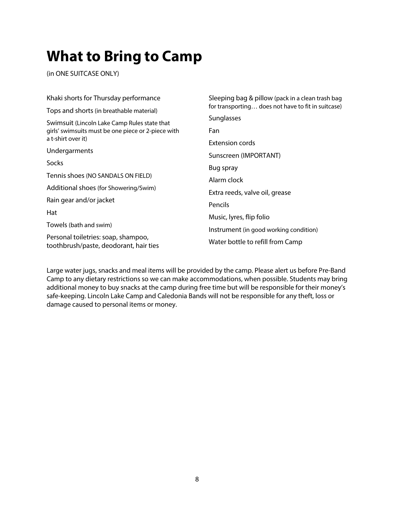### **What to Bring to Camp**

(in ONE SUITCASE ONLY)

| Khaki shorts for Thursday performance                                         | Sleeping bag & pillow (pack in a clean trash bag<br>for transporting does not have to fit in suitcase) |  |  |
|-------------------------------------------------------------------------------|--------------------------------------------------------------------------------------------------------|--|--|
| Tops and shorts (in breathable material)                                      |                                                                                                        |  |  |
| Swimsuit (Lincoln Lake Camp Rules state that                                  | Sunglasses                                                                                             |  |  |
| girls' swimsuits must be one piece or 2-piece with                            | Fan                                                                                                    |  |  |
| a t-shirt over it)                                                            | Extension cords                                                                                        |  |  |
| Undergarments                                                                 | Sunscreen (IMPORTANT)                                                                                  |  |  |
| Socks                                                                         | Bug spray                                                                                              |  |  |
| Tennis shoes (NO SANDALS ON FIELD)                                            | Alarm clock                                                                                            |  |  |
| Additional shoes (for Showering/Swim)                                         | Extra reeds, valve oil, grease                                                                         |  |  |
| Rain gear and/or jacket                                                       |                                                                                                        |  |  |
| Hat                                                                           | Pencils                                                                                                |  |  |
|                                                                               | Music, lyres, flip folio                                                                               |  |  |
| Towels (bath and swim)                                                        | Instrument (in good working condition)                                                                 |  |  |
| Personal toiletries: soap, shampoo,<br>toothbrush/paste, deodorant, hair ties | Water bottle to refill from Camp                                                                       |  |  |

Large water jugs, snacks and meal items will be provided by the camp. Please alert us before Pre-Band Camp to any dietary restrictions so we can make accommodations, when possible. Students may bring additional money to buy snacks at the camp during free time but will be responsible for their money's safe-keeping. Lincoln Lake Camp and Caledonia Bands will not be responsible for any theft, loss or damage caused to personal items or money.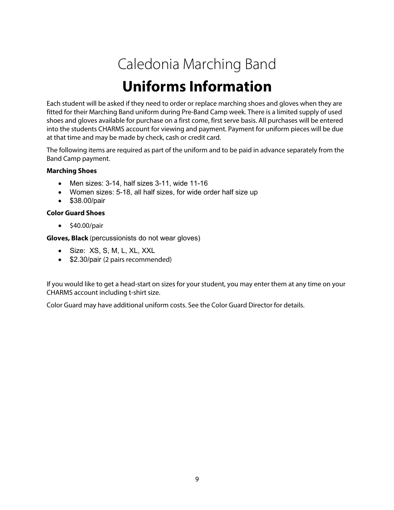### Caledonia Marching Band

### **Uniforms Information**

Each student will be asked if they need to order or replace marching shoes and gloves when they are fitted for their Marching Band uniform during Pre-Band Camp week. There is a limited supply of used shoes and gloves available for purchase on a first come, first serve basis. All purchases will be entered into the students CHARMS account for viewing and payment. Payment for uniform pieces will be due at that time and may be made by check, cash or credit card.

The following items are required as part of the uniform and to be paid in advance separately from the Band Camp payment.

#### **Marching Shoes**

- Men sizes: 3-14, half sizes 3-11, wide 11-16
- Women sizes: 5-18, all half sizes, for wide order half size up
- \$38.00/pair

#### **Color Guard Shoes**

• \$40.00/pair

**Gloves, Black** (percussionists do not wear gloves)

- Size: XS, S, M, L, XL, XXL
- \$2.30/pair (2 pairs recommended)

If you would like to get a head-start on sizes for your student, you may enter them at any time on your CHARMS account including t-shirt size.

Color Guard may have additional uniform costs. See the Color Guard Director for details.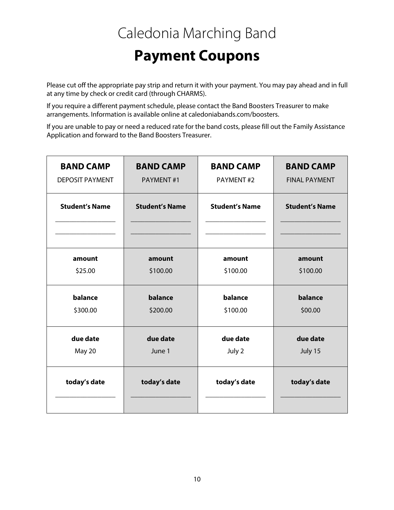# Caledonia Marching Band

### **Payment Coupons**

Please cut off the appropriate pay strip and return it with your payment. You may pay ahead and in full at any time by check or credit card (through CHARMS).

If you require a different payment schedule, please contact the Band Boosters Treasurer to make arrangements. Information is available online at caledoniabands.com/boosters.

If you are unable to pay or need a reduced rate for the band costs, please fill out the Family Assistance Application and forward to the Band Boosters Treasurer.

| <b>BAND CAMP</b>       | <b>BAND CAMP</b>      | <b>BAND CAMP</b>      | <b>BAND CAMP</b>      |
|------------------------|-----------------------|-----------------------|-----------------------|
| <b>DEPOSIT PAYMENT</b> | PAYMENT#1             | PAYMENT#2             | <b>FINAL PAYMENT</b>  |
| <b>Student's Name</b>  | <b>Student's Name</b> | <b>Student's Name</b> | <b>Student's Name</b> |
| amount                 | amount                | amount                | amount                |
| \$25.00                | \$100.00              | \$100.00              | \$100.00              |
| balance                | balance               | balance               | balance               |
| \$300.00               | \$200.00              | \$100.00              | \$00.00               |
| due date               | due date              | due date              | due date              |
| May 20                 | June 1                | July 2                | July 15               |
| today's date           | today's date          | today's date          | today's date          |